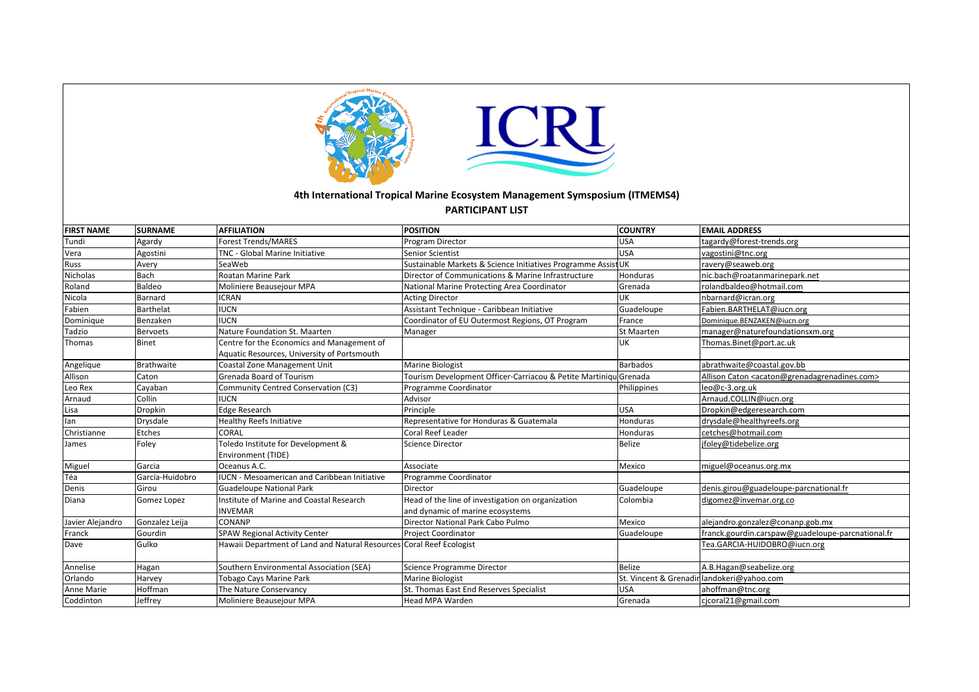

## 4th International Tropical Marine Ecosystem Management Symsposium (ITMEMS4)

## **PARTICIPANT LIST**

| <b>FIRST NAME</b> | <b>SURNAME</b>  | <b>AFFILIATION</b>                                                                        | <b>POSITION</b>                                                  | <b>COUNTRY</b>  | <b>EMAIL ADDRESS</b>                                                        |
|-------------------|-----------------|-------------------------------------------------------------------------------------------|------------------------------------------------------------------|-----------------|-----------------------------------------------------------------------------|
| Tundi             | Agardy          | Forest Trends/MARES                                                                       | Program Director                                                 | USA             | tagardy@forest-trends.org                                                   |
| Vera              | Agostini        | <b>TNC - Global Marine Initiative</b>                                                     | Senior Scientist                                                 | USA             | vagostini@tnc.org                                                           |
| Russ              | Avery           | SeaWeb                                                                                    | Sustainable Markets & Science Initiatives Programme Assist UK    |                 | ravery@seaweb.org                                                           |
| Nicholas          | Bach            | Roatan Marine Park                                                                        | Director of Communications & Marine Infrastructure               | Honduras        | nic.bach@roatanmarinepark.net                                               |
| Roland            | Baldeo          | Moliniere Beausejour MPA                                                                  | National Marine Protecting Area Coordinator                      | Grenada         | rolandbaldeo@hotmail.com                                                    |
| Nicola            | Barnard         | <b>ICRAN</b>                                                                              | <b>Acting Director</b>                                           | UK              | nbarnard@icran.org                                                          |
| Fabien            | Barthelat       | <b>IUCN</b>                                                                               | Assistant Technique - Caribbean Initiative                       | Guadeloupe      | Fabien.BARTHELAT@iucn.org                                                   |
| Dominique         | Benzaken        | <b>IUCN</b>                                                                               | Coordinator of EU Outermost Regions, OT Program                  | France          | Dominique.BENZAKEN@iucn.org                                                 |
| Tadzio            | <b>Bervoets</b> | Nature Foundation St. Maarten                                                             | Manager                                                          | St Maarten      | manager@naturefoundationsxm.org                                             |
| Thomas            | Binet           | Centre for the Economics and Management of<br>Aquatic Resources, University of Portsmouth |                                                                  | <b>UK</b>       | Thomas.Binet@port.ac.uk                                                     |
| Angelique         | Brathwaite      | Coastal Zone Management Unit                                                              | Marine Biologist                                                 | <b>Barbados</b> | abrathwaite@coastal.gov.bb                                                  |
| Allison           | Caton           | Grenada Board of Tourism                                                                  | Tourism Development Officer-Carriacou & Petite MartiniqulGrenada |                 | Allison Caton <acaton@grenadagrenadines.com></acaton@grenadagrenadines.com> |
| Leo Rex           | Cayaban         | Community Centred Conservation (C3)                                                       | Programme Coordinator                                            | Philippines     | leo@c-3.org.uk                                                              |
| Arnaud            | Collin          | <b>IUCN</b>                                                                               | Advisor                                                          |                 | Arnaud.COLLIN@iucn.org                                                      |
| Lisa              | Dropkin         | Edge Research                                                                             | Principle                                                        | <b>USA</b>      | Dropkin@edgeresearch.com                                                    |
| lan               | Drysdale        | <b>Healthy Reefs Initiative</b>                                                           | Representative for Honduras & Guatemala                          | Honduras        | drysdale@healthyreefs.org                                                   |
| Christianne       | Etches          | <b>CORAL</b>                                                                              | Coral Reef Leader                                                | Honduras        | cetches@hotmail.com                                                         |
| James             | Foley           | Toledo Institute for Development &                                                        | Science Director                                                 | Belize          | jfoley@tidebelize.org                                                       |
|                   |                 | Environment (TIDE)                                                                        |                                                                  |                 |                                                                             |
| Miguel            | Garcia          | Oceanus A.C.                                                                              | Associate                                                        | Mexico          | miguel@oceanus.org.mx                                                       |
| Téa               | García-Huidobro | <b>IUCN - Mesoamerican and Caribbean Initiative</b>                                       | Programme Coordinator                                            |                 |                                                                             |
| Denis             | lGirou          | Guadeloupe National Park                                                                  | Director                                                         | Guadeloupe      | denis.girou@guadeloupe-parcnational.fr                                      |
| Diana             | Gomez Lopez     | Institute of Marine and Coastal Research                                                  | Head of the line of investigation on organization                | Colombia        | digomez@invemar.org.co                                                      |
|                   |                 | INVEMAR                                                                                   | and dynamic of marine ecosystems                                 |                 |                                                                             |
| Javier Alejandro  | Gonzalez Leija  | ICONANP                                                                                   | Director National Park Cabo Pulmo                                | Mexico          | alejandro.gonzalez@conanp.gob.mx                                            |
| Franck            | Gourdin         | <b>SPAW Regional Activity Center</b>                                                      | Project Coordinator                                              | Guadeloupe      | franck.gourdin.carspaw@guadeloupe-parcnational.fr                           |
| Dave              | Gulko           | Hawaii Department of Land and Natural Resources Coral Reef Ecologist                      |                                                                  |                 | Tea.GARCIA-HUIDOBRO@iucn.org                                                |
| Annelise          | Hagan           | Southern Environmental Association (SEA)                                                  | Science Programme Director                                       | Belize          | A.B.Hagan@seabelize.org                                                     |
| Orlando           | Harvey          | <b>Tobago Cays Marine Park</b>                                                            | Marine Biologist                                                 |                 | St. Vincent & Grenadir landokeri@yahoo.com                                  |
| Anne Marie        | Hoffman         | The Nature Conservancy                                                                    | St. Thomas East End Reserves Specialist                          | <b>USA</b>      | ahoffman@tnc.org                                                            |
| Coddinton         | Jeffrey         | Moliniere Beausejour MPA                                                                  | <b>Head MPA Warden</b>                                           | <b>Grenada</b>  | cicoral21@gmail.com                                                         |